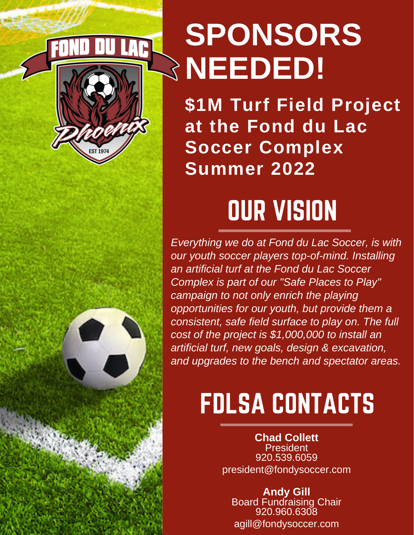

# **SPONSORS NEEDED!**

**\$1M Turf Field Project at the Fond du Lac Soccer Complex Summer 2022**

## OUR VISION

*Everything we do at Fond du Lac Soccer, is with our youth soccer players top-of-mind. Installing an artificial turf at the Fond du Lac Soccer Complex is part of our "Safe Places to Play" campaign to not only enrich the playing opportunities for our youth, but provide them a consistent, safe field surface to play on. The full cost of the project is \$1,000,000 to install an artificial turf, new goals, design & excavation, and upgrades to the bench and spectator areas.*

## FDLSA CONTACTS

**Chad Collett President** 920.539.6059 president@fondysoccer.com

**Andy Gill** Board Fundraising Chair 920.960.6308 agill@fondysoccer.com